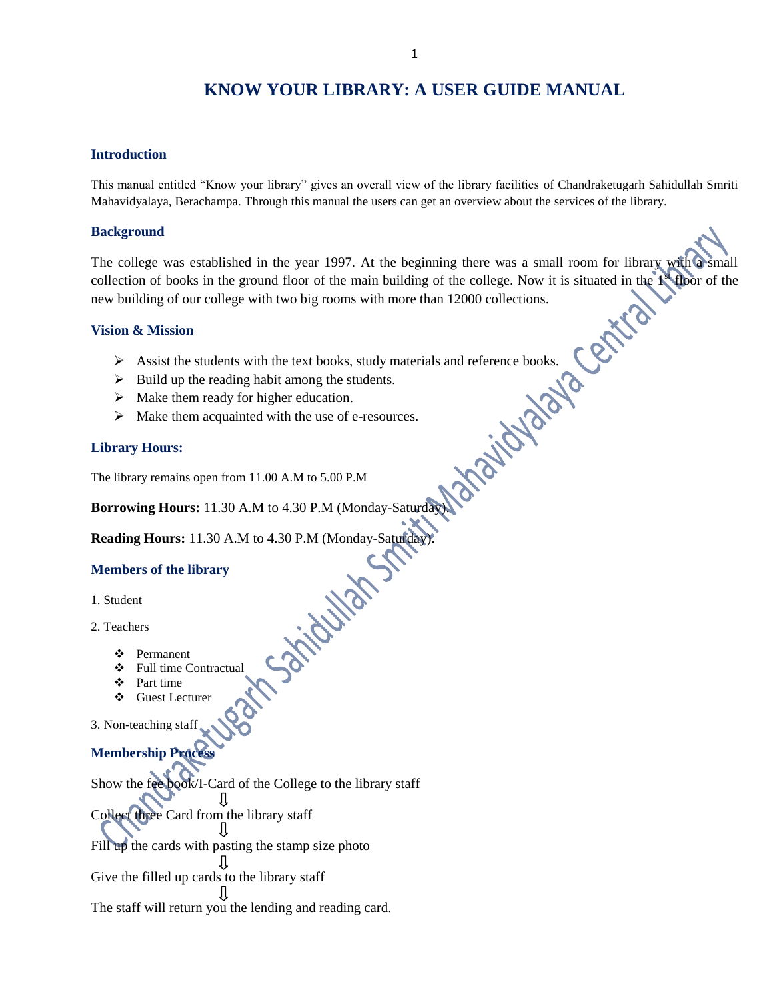# **KNOW YOUR LIBRARY: A USER GUIDE MANUAL**

#### **Introduction**

This manual entitled "Know your library" gives an overall view of the library facilities of Chandraketugarh Sahidullah Smriti Mahavidyalaya, Berachampa. Through this manual the users can get an overview about the services of the library.

#### **Background**

The college was established in the year 1997. At the beginning there was a small room for library with a small collection of books in the ground floor of the main building of the college. Now it is situated in the  $1^{\circ}$  floor of the **Central** new building of our college with two big rooms with more than 12000 collections.

#### **Vision & Mission**

- Assist the students with the text books, study materials and reference books.<br>
Also up the reading habit among the students.<br>
Also them ready for higher education.<br>
Also them acquainted with the use of e-resources.<br>
<br>
Also
- $\triangleright$  Build up the reading habit among the students.
- $\triangleright$  Make them ready for higher education.
- $\triangleright$  Make them acquainted with the use of e-resources.

#### **Library Hours:**

The library remains open from 11.00 A.M to 5.00 P.M

**Borrowing Hours:** 11.30 A.M to 4.30 P.M (Monday-Saturday).

**Reading Hours:** 11.30 A.M to 4.30 P.M (Monday-Saturday).<br> **Members of the library**<br>
1. Student<br>
2. Teachers<br>
\*

#### **Members of the library**

- 1. Student
- 2. Teachers
	- Permanent
	- Full time Contractual
	- Part time
	- Guest Lecturer
- 3. Non-teaching staff

# **Membership Process**

Show the fee book/I-Card of the College to the library staff ſſ Collect three Card from the library staff Jl Fill up the cards with pasting the stamp size photo Л Give the filled up cards to the library staff JL The staff will return you the lending and reading card.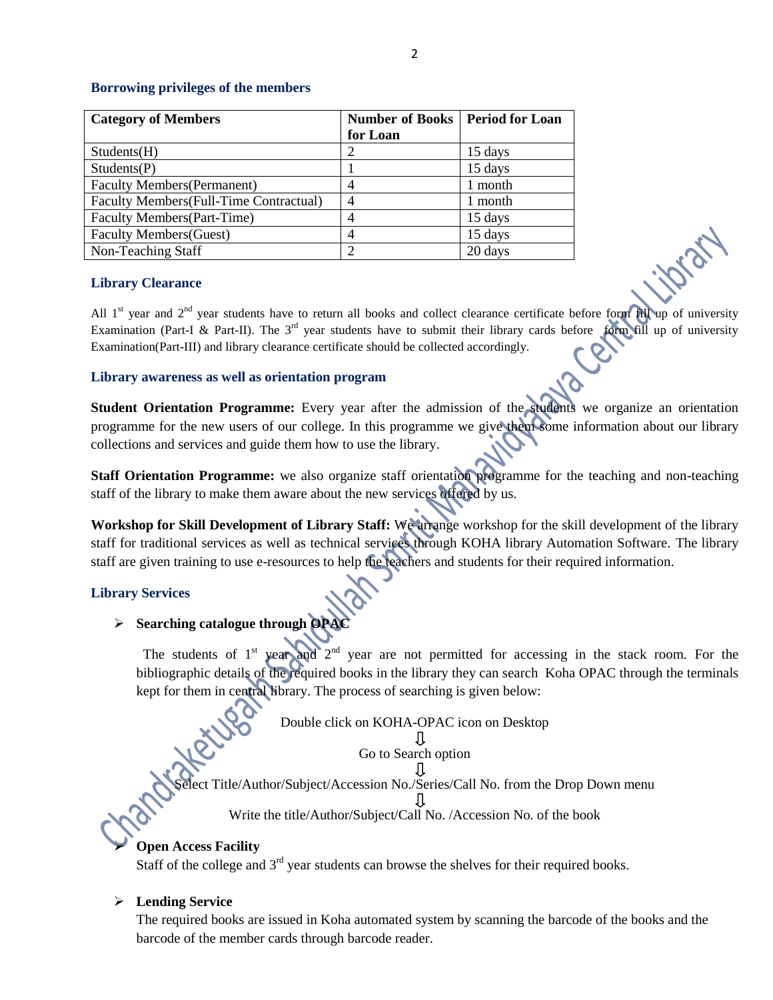## **Borrowing privileges of the members**

| <b>Category of Members</b>              | <b>Number of Books   Period for Loan</b><br>for Loan |         |
|-----------------------------------------|------------------------------------------------------|---------|
| Students(H)                             |                                                      | 15 days |
| Students(P)                             |                                                      | 15 days |
| <b>Faculty Members (Permanent)</b>      | $\overline{4}$                                       | 1 month |
| Faculty Members (Full-Time Contractual) | 4                                                    | 1 month |
| <b>Faculty Members</b> (Part-Time)      | 4                                                    | 15 days |
| <b>Faculty Members (Guest)</b>          | 4                                                    | 15 days |
| Non-Teaching Staff                      | ာ                                                    | 20 days |

#### **Library Clearance**

All  $1<sup>st</sup>$  year and  $2<sup>nd</sup>$  year students have to return all books and collect clearance certificate before form fill up of university Examination (Part-I & Part-II). The  $3^{rd}$  year students have to submit their library cards before form fill up of university Examination(Part-III) and library clearance certificate should be collected accordingly.

# **Library awareness as well as orientation program**

**Student Orientation Programme:** Every year after the admission of the students we organize an orientation programme for the new users of our college. In this programme we give them some information about our library collections and services and guide them how to use the library.

**Staff Orientation Programme:** we also organize staff orientation programme for the teaching and non-teaching staff of the library to make them aware about the new services offered by us.

**Workshop for Skill Development of Library Staff:** We arrange workshop for the skill development of the library staff for traditional services as well as technical services through KOHA library Automation Software. The library staff are given training to use e-resources to help the teachers and students for their required information.

# **Library Services**

# **Searching catalogue through OPAC**

The students of  $1<sup>st</sup>$  year and  $2<sup>nd</sup>$  year are not permitted for accessing in the stack room. For the bibliographic details of the required books in the library they can search Koha OPAC through the terminals kept for them in central library. The process of searching is given below:

Double click on KOHA-OPAC icon on Desktop

Go to Search option

Select Title/Author/Subject/Accession No./Series/Call No. from the Drop Down menu Л

Write the title/Author/Subject/Call No. /Accession No. of the book

# **Open Access Facility**

Staff of the college and  $3<sup>rd</sup>$  year students can browse the shelves for their required books.

# **Lending Service**

The required books are issued in Koha automated system by scanning the barcode of the books and the barcode of the member cards through barcode reader.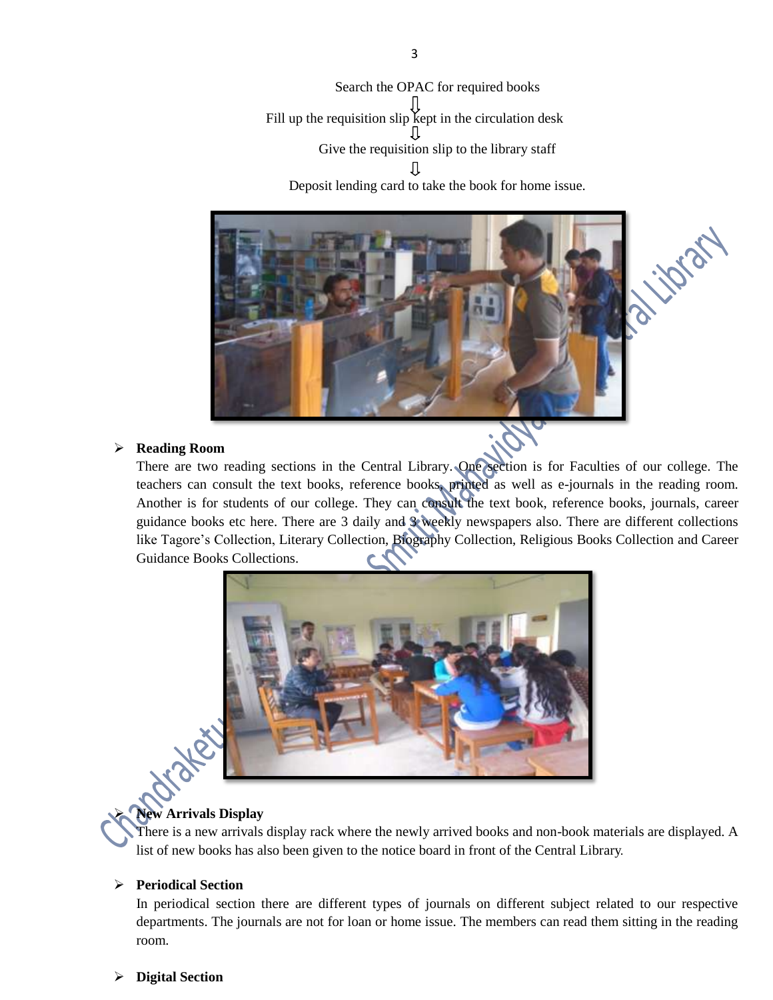Search the OPAC for required books Fill up the requisition slip kept in the circulation desk Give the requisition slip to the library staff Jl Deposit lending card to take the book for home issue.



#### **Reading Room**

There are two reading sections in the Central Library. One section is for Faculties of our college. The teachers can consult the text books, reference books, printed as well as e-journals in the reading room. Another is for students of our college. They can consult the text book, reference books, journals, career guidance books etc here. There are 3 daily and 3 weekly newspapers also. There are different collections like Tagore's Collection, Literary Collection, Biography Collection, Religious Books Collection and Career Guidance Books Collections.



#### **New Arrivals Display**

There is a new arrivals display rack where the newly arrived books and non-book materials are displayed. A list of new books has also been given to the notice board in front of the Central Library.

# **Periodical Section**

In periodical section there are different types of journals on different subject related to our respective departments. The journals are not for loan or home issue. The members can read them sitting in the reading room.

#### **Digital Section**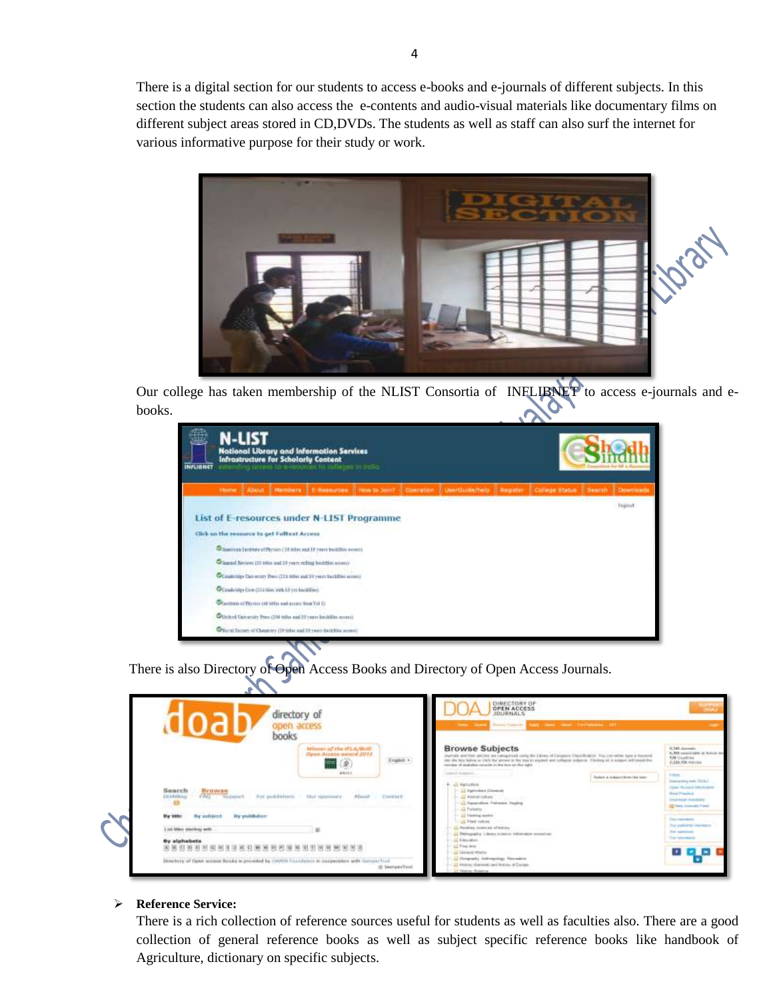There is a digital section for our students to access e-books and e-journals of different subjects. In this section the students can also access the e-contents and audio-visual materials like documentary films on different subject areas stored in CD,DVDs. The students as well as staff can also surf the internet for various informative purpose for their study or work.



Our college has taken membership of the NLIST Consortia of INFLIBNET to access e-journals and ebooks.

| N-LIST<br><b>National Library and Information Services</b><br><b>Infrastructure for Scholarly Content</b><br>anative cerease to wrecolving for rollages in inclin-<br><b>INFLIGHET</b> |               |  |                                                       |                                                                      |                                            |  |                                                                                                                           |  |  |  |         |
|----------------------------------------------------------------------------------------------------------------------------------------------------------------------------------------|---------------|--|-------------------------------------------------------|----------------------------------------------------------------------|--------------------------------------------|--|---------------------------------------------------------------------------------------------------------------------------|--|--|--|---------|
|                                                                                                                                                                                        | <b>Home 3</b> |  |                                                       |                                                                      |                                            |  | About   Members   E-Researces   How to 3667   Operation   UsesQuate/help   Register   College-Status   Search   Dewnloads |  |  |  |         |
|                                                                                                                                                                                        |               |  |                                                       |                                                                      |                                            |  |                                                                                                                           |  |  |  | Ingelat |
|                                                                                                                                                                                        |               |  |                                                       |                                                                      | List of E-resources under N-LIST Programme |  |                                                                                                                           |  |  |  |         |
|                                                                                                                                                                                        |               |  | Click on the resource to get Fulltest Access          |                                                                      |                                            |  |                                                                                                                           |  |  |  |         |
|                                                                                                                                                                                        |               |  |                                                       | Chamos Installation (31 adv. and 17 years buildies sound             |                                            |  |                                                                                                                           |  |  |  |         |
|                                                                                                                                                                                        |               |  |                                                       | Closed favors (1) title and 11 years willing buildisk second         |                                            |  |                                                                                                                           |  |  |  |         |
|                                                                                                                                                                                        |               |  |                                                       | Countings then entry Press (224 MHz) and 10 years backfilled access) |                                            |  |                                                                                                                           |  |  |  |         |
|                                                                                                                                                                                        |               |  | Constrates Con (214 (Sec 19th 18 yrs building)        |                                                                      |                                            |  |                                                                                                                           |  |  |  |         |
|                                                                                                                                                                                        |               |  | Chastoon of Physics (of lifts) and econy finis Vol 10 |                                                                      |                                            |  |                                                                                                                           |  |  |  |         |
|                                                                                                                                                                                        |               |  |                                                       | Othind taxenity free (3M min exil 17 years betallin room)            |                                            |  |                                                                                                                           |  |  |  |         |
|                                                                                                                                                                                        |               |  |                                                       | Piler at Israer of Classico (19 titles and 19 years backlike access) |                                            |  |                                                                                                                           |  |  |  |         |
|                                                                                                                                                                                        |               |  | ----                                                  |                                                                      |                                            |  |                                                                                                                           |  |  |  |         |

There is also Directory of Open Access Books and Directory of Open Access Journals.

| directory of<br>apen access<br>books                                                                                            |                                                                           | DIRECTORY OF<br><b>OPEN ACCESS</b><br><b>JOURNALS</b><br>the same fourth-out and the same state information of                                                                                                                                                                                                                                                                                                                                                                                    | <b>SHOP</b>                                                                                         |
|---------------------------------------------------------------------------------------------------------------------------------|---------------------------------------------------------------------------|---------------------------------------------------------------------------------------------------------------------------------------------------------------------------------------------------------------------------------------------------------------------------------------------------------------------------------------------------------------------------------------------------------------------------------------------------------------------------------------------------|-----------------------------------------------------------------------------------------------------|
|                                                                                                                                 | Milwest of the WLA/W/W.<br>Class Americans dist.<br>English +<br>$\alpha$ | <b>Browse Subjects</b><br>bushels and that artified air categories comp the Union of Escapere Charolination You can write tops a busined<br>(d) the boy below in 1935 My alread of the may b) algored and tological column 1 bottom at a science will considere<br>between of students very with its than two starting of the company and the company of the company of the company of the company of the company of the company of the company of the company of the company of the company of t | <b>B. Mill Automobile</b><br>3.700 vehiclobks at Artists the<br>T26 Countries<br>P.530.756-Attribut |
|                                                                                                                                 | <b>ARILL</b>                                                              | manufacturers.<br>and the company's company's com-<br>Suitar a subsect how the new<br>+ all Astrofee                                                                                                                                                                                                                                                                                                                                                                                              | <b>TIME</b><br>Instanting rath DSA<br>Cases Australe Municipes                                      |
| Search<br>Brawer<br>FALL: SHOWOOT<br>DOMINIA<br>For publishers.<br><b>1999</b><br>the property and the property of the property | About Contact<br>Cityl rights formerly                                    | - 12 Aprintines Element<br>$ \frac{1}{2}$ Alered cutses.<br>- all Aquaculture Prehasing, Augüng<br>- All Falestin                                                                                                                                                                                                                                                                                                                                                                                 | <b>Hand Promised</b><br><b>Counting Headquay</b><br><b>12 Have Comments Francis</b>                 |
| By milikitur-<br>By this<br>Har sadidated:                                                                                      |                                                                           | 11 All Herman works<br>THE REAL FIRMS                                                                                                                                                                                                                                                                                                                                                                                                                                                             | <b>Management</b>                                                                                   |
| 1 tol Marc staching web.                                                                                                        |                                                                           | and characters and an advertising<br>All Preferential is dealer as painting determined assessment                                                                                                                                                                                                                                                                                                                                                                                                 | They positively an impression<br>the sames                                                          |
| By alphabets<br>850000000000000000000000000000                                                                                  |                                                                           | and historically<br>All Fina level                                                                                                                                                                                                                                                                                                                                                                                                                                                                | They selected                                                                                       |
| Directory of Open access Rooke is provided by 19900 Foundation in possession with increase fixed                                | (2) Internation Fished                                                    | and Garment Models<br>- 12 Gargenstey Andrewsings Thorndom<br>To throw classes and labels of farms.                                                                                                                                                                                                                                                                                                                                                                                               |                                                                                                     |

#### **Reference Service:**

There is a rich collection of reference sources useful for students as well as faculties also. There are a good collection of general reference books as well as subject specific reference books like handbook of Agriculture, dictionary on specific subjects.